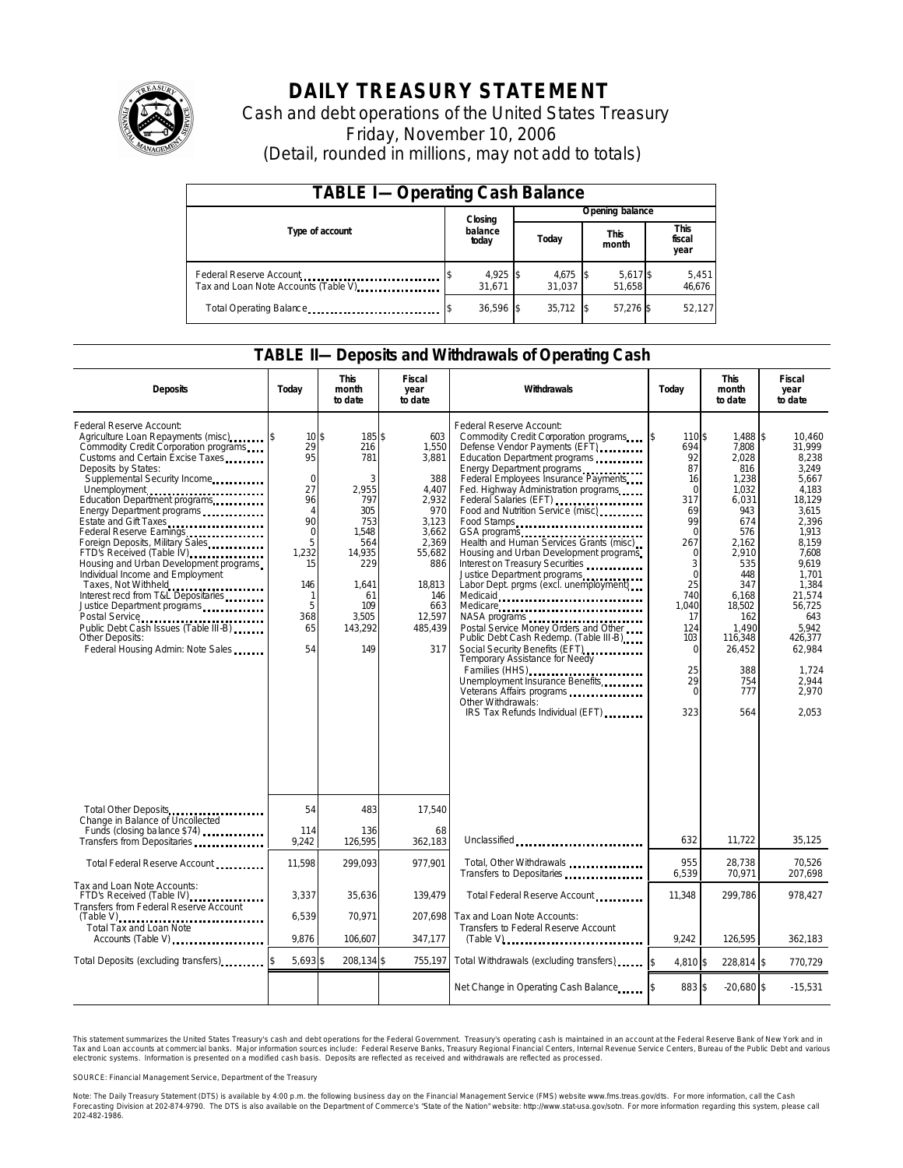

# **DAILY TREASURY STATEMENT**

Cash and debt operations of the United States Treasury Friday, November 10, 2006 (Detail, rounded in millions, may not add to totals)

| <b>TABLE I-Operating Cash Balance</b>                            |                             |  |                      |  |                      |  |                        |
|------------------------------------------------------------------|-----------------------------|--|----------------------|--|----------------------|--|------------------------|
|                                                                  | Closing<br>balance<br>today |  | Opening balance      |  |                      |  |                        |
| Type of account                                                  |                             |  | Today                |  | <b>This</b><br>month |  | This<br>fiscal<br>year |
| Federal Reserve Account<br>Tax and Loan Note Accounts (Table V). | 4,925 \$<br>31.671          |  | $4,675$ \$<br>31.037 |  | 5,617 \$<br>51.658   |  | 5,451<br>46,676        |
| Total Operating Balance                                          | 36,596 \$                   |  | 35,712               |  | 57,276 \$            |  | 52,127                 |

### **TABLE II—Deposits and Withdrawals of Operating Cash**

| <b>Deposits</b>                                                                                                                                                                                                                                                                                                                                                                                                                                                                                                                                                                                                                                                                     | Today                                                                                                                                                                    | <b>This</b><br>month<br>to date                                                                                                          | <b>Fiscal</b><br>year<br>to date                                                                                                                      | Withdrawals                                                                                                                                                                                                                                                                                                                                                                                                                                                                                                                                                                                                                                                                                                                                                                                                                           | Today                                                                                                                                                                                            | <b>This</b><br>month<br>to date                                                                                                                                                                           | Fiscal<br>year<br>to date                                                                                                                                                                                                                 |
|-------------------------------------------------------------------------------------------------------------------------------------------------------------------------------------------------------------------------------------------------------------------------------------------------------------------------------------------------------------------------------------------------------------------------------------------------------------------------------------------------------------------------------------------------------------------------------------------------------------------------------------------------------------------------------------|--------------------------------------------------------------------------------------------------------------------------------------------------------------------------|------------------------------------------------------------------------------------------------------------------------------------------|-------------------------------------------------------------------------------------------------------------------------------------------------------|---------------------------------------------------------------------------------------------------------------------------------------------------------------------------------------------------------------------------------------------------------------------------------------------------------------------------------------------------------------------------------------------------------------------------------------------------------------------------------------------------------------------------------------------------------------------------------------------------------------------------------------------------------------------------------------------------------------------------------------------------------------------------------------------------------------------------------------|--------------------------------------------------------------------------------------------------------------------------------------------------------------------------------------------------|-----------------------------------------------------------------------------------------------------------------------------------------------------------------------------------------------------------|-------------------------------------------------------------------------------------------------------------------------------------------------------------------------------------------------------------------------------------------|
| Federal Reserve Account:<br>Agriculture Loan Repayments (misc)<br>Commodity Credit Corporation programs<br>Customs and Certain Excise Taxes<br>Deposits by States:<br>Supplemental Security Income<br>Unemployment<br>Education Department programs<br>Energy Department programs<br>Estate and Gift Taxes<br>Federal Reserve Earnings<br>Foreign Deposits, Military Sales<br>FTD's Received (Table IV)<br>Housing and Urban Development programs<br>Individual Income and Employment<br>Taxes, Not Withheld<br>Interest recd from T&L Depositaries<br>Justice Department programs<br>Public Debt Cash Issues (Table III-B)<br>Other Deposits:<br>Federal Housing Admin: Note Sales | $10\overline{\text{s}}$<br>29<br>95<br>$\mathbf 0$<br>27<br>96<br>$\overline{4}$<br>90<br>$\mathbf 0$<br>5<br>1.232<br>15<br>146<br>$\mathbf{1}$<br>5<br>368<br>65<br>54 | 185\$<br>216<br>781<br>3<br>2,955<br>797<br>305<br>753<br>1,548<br>564<br>14.935<br>229<br>1,641<br>61<br>109<br>3,505<br>143,292<br>149 | 603<br>1,550<br>3,881<br>388<br>4,407<br>2,932<br>970<br>3,123<br>3,662<br>2,369<br>55,682<br>886<br>18,813<br>146<br>663<br>12,597<br>485,439<br>317 | Federal Reserve Account:<br>Commodity Credit Corporation programs<br>Defense Vendor Payments (EFT)<br>Education Department programs<br>Energy Department programs<br>Federal Employees Insurance Payments<br>Fed. Highway Administration programs<br>Food and Nutrition Service (misc)<br>Food Stamps<br>GSA programs<br>Health and Human Services Grants (misc)<br>Housing and Urban Development programs<br>Interest on Treasury Securities<br>Justice Department programs<br>Labor Dept. prgms (excl. unemployment)<br>Medicare<br>Postal Service Money Orders and Other<br>Public Debt Cash Redemp. (Table III-B)<br>Social Security Benefits (EFT)<br>Temporary Assistance for Needy<br>Families (HHS)<br>Unemployment Insurance Benefits<br>Veterans Affairs programs<br>Other Withdrawals:<br>IRS Tax Refunds Individual (EFT) | 110\$<br>5<br>694<br>92<br>87<br>16<br>$\Omega$<br>317<br>69<br>99<br>$\Omega$<br>267<br>0<br>3<br>$\Omega$<br>25<br>740<br>1.040<br>17<br>124<br>103<br>$\Omega$<br>25<br>29<br>$\Omega$<br>323 | 1.488<br>7,808<br>2.028<br>816<br>1,238<br>1.032<br>6,031<br>943<br>674<br>576<br>2,162<br>2,910<br>535<br>448<br>347<br>6,168<br>18.502<br>162<br>1.490<br>116.348<br>26,452<br>388<br>754<br>777<br>564 | \$<br>10.460<br>31,999<br>8.238<br>3.249<br>5.667<br>4.183<br>18,129<br>3,615<br>2.396<br>1.913<br>8.159<br>7.608<br>9.619<br>1,701<br>1,384<br>21,574<br>56.725<br>643<br>5.942<br>426.377<br>62,984<br>1.724<br>2,944<br>2.970<br>2.053 |
| Total Other Deposits<br>Change in Balance of Uncollected                                                                                                                                                                                                                                                                                                                                                                                                                                                                                                                                                                                                                            | 54                                                                                                                                                                       | 483                                                                                                                                      | 17,540                                                                                                                                                |                                                                                                                                                                                                                                                                                                                                                                                                                                                                                                                                                                                                                                                                                                                                                                                                                                       |                                                                                                                                                                                                  |                                                                                                                                                                                                           |                                                                                                                                                                                                                                           |
| Funds (closing balance \$74)<br>Transfers from Depositaries                                                                                                                                                                                                                                                                                                                                                                                                                                                                                                                                                                                                                         | 114<br>9,242                                                                                                                                                             | 136<br>126,595                                                                                                                           | 68<br>362.183                                                                                                                                         | Unclassified                                                                                                                                                                                                                                                                                                                                                                                                                                                                                                                                                                                                                                                                                                                                                                                                                          | 632                                                                                                                                                                                              | 11,722                                                                                                                                                                                                    | 35,125                                                                                                                                                                                                                                    |
| Total Federal Reserve Account                                                                                                                                                                                                                                                                                                                                                                                                                                                                                                                                                                                                                                                       | 11,598                                                                                                                                                                   | 299.093                                                                                                                                  | 977.901                                                                                                                                               | Total, Other Withdrawals<br>Transfers to Depositaries                                                                                                                                                                                                                                                                                                                                                                                                                                                                                                                                                                                                                                                                                                                                                                                 | 955<br>6,539                                                                                                                                                                                     | 28.738<br>70,971                                                                                                                                                                                          | 70.526<br>207,698                                                                                                                                                                                                                         |
| Tax and Loan Note Accounts:<br>FTD's Received (Table IV)<br>Transfers from Federal Reserve Account                                                                                                                                                                                                                                                                                                                                                                                                                                                                                                                                                                                  | 3,337                                                                                                                                                                    | 35,636                                                                                                                                   | 139,479                                                                                                                                               | Total Federal Reserve Account                                                                                                                                                                                                                                                                                                                                                                                                                                                                                                                                                                                                                                                                                                                                                                                                         | 11,348                                                                                                                                                                                           | 299,786                                                                                                                                                                                                   | 978,427                                                                                                                                                                                                                                   |
| <b>Total Tax and Loan Note</b><br>Accounts (Table V)                                                                                                                                                                                                                                                                                                                                                                                                                                                                                                                                                                                                                                | 6,539<br>9.876                                                                                                                                                           | 70,971<br>106,607                                                                                                                        | 207.698<br>347,177                                                                                                                                    | Tax and Loan Note Accounts:<br>Transfers to Federal Reserve Account<br>$(Table V)$                                                                                                                                                                                                                                                                                                                                                                                                                                                                                                                                                                                                                                                                                                                                                    | 9.242                                                                                                                                                                                            | 126.595                                                                                                                                                                                                   | 362.183                                                                                                                                                                                                                                   |
| Total Deposits (excluding transfers)                                                                                                                                                                                                                                                                                                                                                                                                                                                                                                                                                                                                                                                | 5,693 \$                                                                                                                                                                 | 208,134 \$                                                                                                                               | 755,197                                                                                                                                               | Total Withdrawals (excluding transfers)                                                                                                                                                                                                                                                                                                                                                                                                                                                                                                                                                                                                                                                                                                                                                                                               | 4.810 \$                                                                                                                                                                                         | 228,814 \$                                                                                                                                                                                                | 770.729                                                                                                                                                                                                                                   |
|                                                                                                                                                                                                                                                                                                                                                                                                                                                                                                                                                                                                                                                                                     |                                                                                                                                                                          |                                                                                                                                          |                                                                                                                                                       | Net Change in Operating Cash Balance                                                                                                                                                                                                                                                                                                                                                                                                                                                                                                                                                                                                                                                                                                                                                                                                  | 883 \$                                                                                                                                                                                           | $-20.680$ \$                                                                                                                                                                                              | $-15,531$                                                                                                                                                                                                                                 |

This statement summarizes the United States Treasury's cash and debt operations for the Federal Government. Treasury's operating cash is maintained in an account at the Federal Reserve Bank of New York and in Tax and Loan accounts at commercial banks. Major information sources include: Federal Reserve Banks, Treasury Regional Financial Centers, Internal Revenue Service Centers, Bureau of the Public Debt and various<br>electronic s

SOURCE: Financial Management Service, Department of the Treasury

Note: The Daily Treasury Statement (DTS) is available by 4:00 p.m. the following business day on the Financial Management Service (FMS) website www.fms.treas.gov/dts. For more information, call the Cash<br>Forecasting Divisio 'S) is available by 4:00 p.m. the following business day on the Financial Management Service (FMS) website www.fms.treas.gov/dts. For more information, call the Cash<br>The DTS is also available on the Department of Commerce'